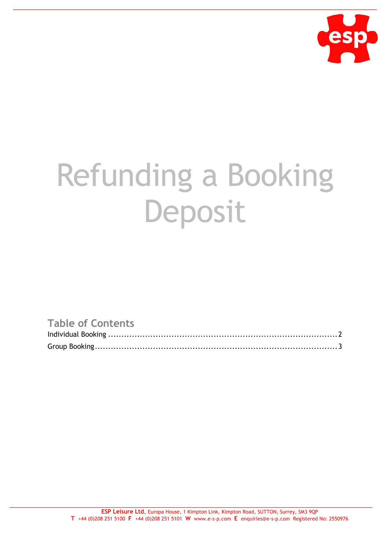

## Refunding a Booking Deposit

## **Table of Contents**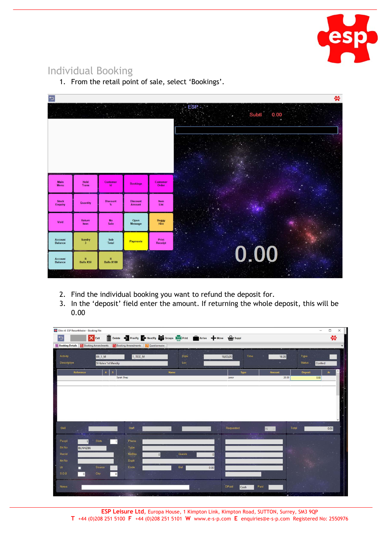

## Individual Booking

| ₻                                |                                   |                                  |                                  |                          | ₩                               |
|----------------------------------|-----------------------------------|----------------------------------|----------------------------------|--------------------------|---------------------------------|
|                                  |                                   |                                  | 2.117                            |                          | ESP<br>Subtl<br>0.00<br>55<br>× |
|                                  |                                   |                                  |                                  |                          |                                 |
| Main<br><b>Menu</b>              | Hold<br><b>Trans</b>              | Customer<br>1d                   | <b>Bookings</b>                  | <b>Customer</b><br>Order |                                 |
| <b>Stock</b><br><b>Enquiry</b>   | Quantity                          | <b>Discount</b><br>%             | <b>Discount</b><br><b>Amount</b> | Item<br>List             |                                 |
| Void                             | Return<br>Item                    | <b>No</b><br>Sale                | Open<br><b>Message</b>           | <b>Buggy</b><br>Hire     |                                 |
| <b>Account</b><br><b>Balance</b> | Sundry<br>$\overline{\mathbf{3}}$ | Sub<br>Total                     | <b>Payments</b>                  | Print<br><b>Receipt</b>  |                                 |
| <b>Account</b><br><b>Balance</b> | $\mathbf R$<br><b>Balls X50</b>   | $\mathbf R$<br><b>Balls X100</b> | ö.                               |                          | 0.00                            |
|                                  |                                   |                                  |                                  |                          |                                 |

1. From the retail point of sale, select 'Bookings'.

- 2. Find the individual booking you want to refund the deposit for.
- 3. In the 'deposit' field enter the amount. If returning the whole deposit, this will be 0.00

| Elite v6 ESP ResortMaster - Booking File |                                |                                                                                                    |                                         |                      |            | $-$                   | $\Box$<br>X     |
|------------------------------------------|--------------------------------|----------------------------------------------------------------------------------------------------|-----------------------------------------|----------------------|------------|-----------------------|-----------------|
| Þ                                        | <b>X</b> Exit                  | Delete + PrevPg + NextPg to Groups to Print the Arrive + Move the Suppl                            |                                         |                      |            |                       | ₩               |
|                                          |                                | Booking Details   Booking Amendments   Booking Amendments   2 Questionnaire                        |                                         |                      |            |                       |                 |
| <b>Activity</b>                          |                                |                                                                                                    | Date                                    |                      |            |                       |                 |
| <b>Description</b>                       | 09_1_M                         | 1_TEE_M                                                                                            | Loc                                     | Time<br>18/03/20     | 16:28      | Type<br><b>Status</b> |                 |
|                                          | 9 Holes 1st Mendip             |                                                                                                    |                                         |                      |            | Confmd                |                 |
| Reference                                | $\mathbf{s}$<br>$\overline{A}$ |                                                                                                    | Name                                    | Type                 | Amount     | Deposit               | $\hat{}$<br>Ar  |
|                                          | Sarah Shep                     |                                                                                                    |                                         | Junior.              | 20.00      | 0.00                  |                 |
|                                          |                                |                                                                                                    |                                         |                      |            |                       |                 |
|                                          |                                |                                                                                                    |                                         |                      |            |                       |                 |
|                                          |                                |                                                                                                    |                                         |                      |            |                       |                 |
|                                          |                                |                                                                                                    |                                         |                      |            |                       |                 |
|                                          |                                |                                                                                                    |                                         |                      |            |                       |                 |
|                                          |                                |                                                                                                    |                                         |                      |            |                       |                 |
| Skill                                    |                                | <b>Staff</b>                                                                                       |                                         | Requested            | Total<br>N |                       | 0.00            |
| Peopl                                    | <b>Slots</b>                   | Phone                                                                                              |                                         |                      |            |                       |                 |
| <b>Bk No</b><br>BLNHZB6                  |                                | Type                                                                                               |                                         |                      |            |                       |                 |
| Recid                                    |                                | <b>NoBks</b><br> 0                                                                                 | <b>Guests</b>                           | $\Omega$             |            |                       | <b>Contract</b> |
| Itin No                                  |                                | Dupli                                                                                              |                                         |                      |            |                       |                 |
| Ltr.                                     | Source                         | Code                                                                                               | Bal                                     | 0.00                 |            |                       |                 |
| <b>SOB</b><br>$\Omega$                   | Ctry<br>$\bf{0}$               | $\mathcal{P}(\mathcal{C}^{\mathcal{C}}_{\mathcal{C}})$ , $\mathcal{C}^{\mathcal{C}}_{\mathcal{C}}$ |                                         |                      |            |                       |                 |
|                                          |                                | si e                                                                                               |                                         |                      |            |                       |                 |
| <b>Notes</b>                             |                                |                                                                                                    |                                         | <b>DPaid</b><br>Cash | Paid       |                       |                 |
|                                          | э.                             | <b>CONTRACTOR</b>                                                                                  | $\mathbb{R}^n$ , and $\mathbb{R}^n$ and | 53                   |            |                       |                 |

**ESP Leisure Ltd**, Europa House, 1 Kimpton Link, Kimpton Road, SUTTON, Surrey, SM3 9QP **T** +44 (0)208 251 5100 **F** +44 (0)208 251 5101 **W** www.e-s-p.com **E** enquiries@e-s-p.com Registered No: 2550976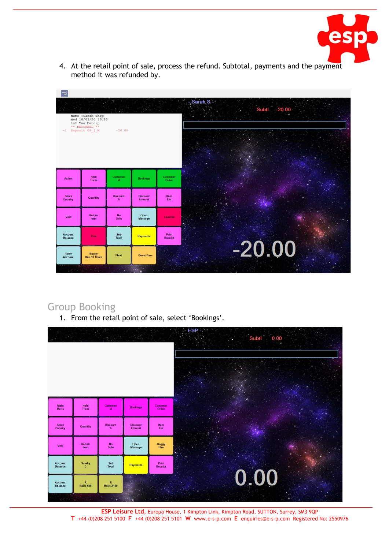

4. At the retail point of sale, process the refund. Subtotal, payments and the payment method it was refunded by.

| $\bigoplus$<br>$-1$ Deposit 09_1_M | Name : Sarah Shep<br>Wed 18/03/20 16:28<br>1st Tee Mendip<br>** RETURNED ** | $-20.00$             |                                  |                         | - Sarah S -<br>Subtl -20.00<br>a a |
|------------------------------------|-----------------------------------------------------------------------------|----------------------|----------------------------------|-------------------------|------------------------------------|
| <b>Action</b>                      | Hold<br><b>Trans</b>                                                        | Customer<br>ld.      | <b>Bookings</b>                  | Customer<br>Order       |                                    |
| <b>Stock</b><br><b>Enquiry</b>     | Quantity                                                                    | <b>Discount</b><br>% | <b>Discount</b><br><b>Amount</b> | Item<br>List            |                                    |
| Void                               | <b>Return</b><br>Item                                                       | <b>No</b><br>Sale    | Open<br><b>Message</b>           | Lessons                 |                                    |
| <b>Account</b><br><b>Balance</b>   | Pms                                                                         | Sub<br><b>Total</b>  | <b>Payments</b>                  | Print<br><b>Receipt</b> |                                    |
| <b>Room</b><br><b>Account</b>      | <b>Buggy</b><br><b>Hire 18 Holes</b>                                        | Flexi                | <b>Guest Pass</b><br>×.          |                         | $-20.00$                           |

## Group Booking

1. From the retail point of sale, select 'Bookings'.



**ESP Leisure Ltd**, Europa House, 1 Kimpton Link, Kimpton Road, SUTTON, Surrey, SM3 9QP **T** +44 (0)208 251 5100 **F** +44 (0)208 251 5101 **W** www.e-s-p.com **E** enquiries@e-s-p.com Registered No: 2550976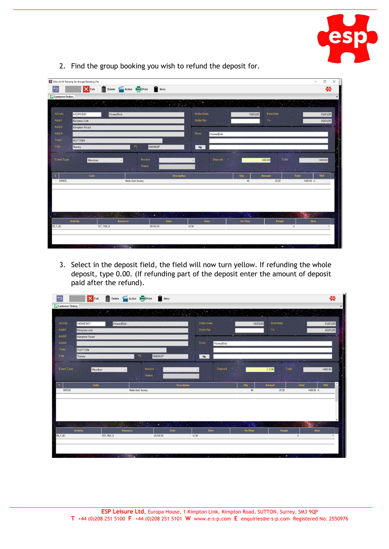

|                             | Elite v6 V6 Training Da Groups Booking File |                                                             |                                                                                                                                           |                      |                              |                  | $\Box$<br>$\times$<br>$-$      |
|-----------------------------|---------------------------------------------|-------------------------------------------------------------|-------------------------------------------------------------------------------------------------------------------------------------------|----------------------|------------------------------|------------------|--------------------------------|
| $\overline{\mathbf{C}}$     | <b>X</b> Exit                               | Delete <b>Prop</b> Action <b>Install Print Installation</b> |                                                                                                                                           |                      |                              |                  | ₩                              |
| Customer Orders             |                                             |                                                             |                                                                                                                                           |                      |                              |                  |                                |
| (16)                        | 28                                          | a,                                                          |                                                                                                                                           |                      |                              |                  |                                |
|                             |                                             | <b>COL</b>                                                  |                                                                                                                                           |                      |                              |                  |                                |
| ACode                       | HOWEB01                                     | Howe/Bob                                                    |                                                                                                                                           | Order Date           | 18/03/20                     | <b>Evnt Date</b> | 25/03/20                       |
| Addr1                       | <b>Kimpton Link</b>                         |                                                             |                                                                                                                                           | Order No             |                              | To               | 25/03/20                       |
| Addr <sub>2</sub>           | Kimpton Road                                |                                                             |                                                                                                                                           |                      |                              |                  |                                |
| Addr3                       |                                             |                                                             |                                                                                                                                           | Desc<br>Howe/Bob     |                              |                  |                                |
| Town                        | <b>SUTTON</b>                               |                                                             |                                                                                                                                           |                      |                              |                  |                                |
| Cnty                        | Surrey                                      | PC                                                          | SM39QP                                                                                                                                    | $\bullet$            |                              |                  |                                |
|                             |                                             |                                                             |                                                                                                                                           |                      |                              |                  |                                |
| <b>Event Type</b>           | Member                                      |                                                             | Invoice                                                                                                                                   | <b>Deposit</b>       |                              | Total<br>400.00  | 1400.00                        |
|                             |                                             |                                                             | <b>Status</b>                                                                                                                             |                      |                              |                  |                                |
| $\mathbf S$                 | Code                                        |                                                             | <b>Description</b>                                                                                                                        |                      | Qty                          | Amount           | Total<br><b>VAT</b>            |
| BIRDIE                      |                                             | <b>Birdie Gold Society</b>                                  |                                                                                                                                           |                      | 40                           | 35.00            | 1400.00 A                      |
|                             |                                             |                                                             |                                                                                                                                           |                      |                              |                  |                                |
|                             |                                             |                                                             |                                                                                                                                           |                      |                              |                  |                                |
|                             |                                             |                                                             |                                                                                                                                           |                      |                              |                  |                                |
|                             |                                             |                                                             |                                                                                                                                           |                      |                              |                  |                                |
| $\mathcal{L}_{\mathcal{A}}$ | $\sim$ $\sim$                               | N<br><b>Alberta</b>                                         | $\label{eq:2} \mathcal{L}_{\text{max}} = \frac{1}{2} \sum_{i=1}^n \mathcal{L}_{\text{max}} \left( \mathcal{L}_{\text{max}} \right)$<br>÷. | <b>College</b><br>-7 | $\overline{\mathbb{R}}$ is . | $\sim$           |                                |
|                             | Activity                                    | Resource                                                    | Date                                                                                                                                      | Time                 | <b>Fin Time</b>              | People           | <b>Slots</b>                   |
| 09_1_EC                     |                                             | 1ST_TEE_E                                                   | 25/03/20                                                                                                                                  | 12:36                |                              |                  | $\overline{4}$<br>$\mathbf{1}$ |
|                             |                                             |                                                             |                                                                                                                                           |                      |                              |                  |                                |
|                             |                                             |                                                             |                                                                                                                                           |                      |                              |                  |                                |
|                             | with the second control of                  | $\sim$ $\sim$ $\sim$ $\sim$                                 | Samuel of 1<br>96                                                                                                                         | иú,                  | $\mathcal{L}^{(1)}$          |                  | $\sim$ 1.1                     |

2. Find the group booking you wish to refund the deposit for.

3. Select in the deposit field, the field will now turn yellow. If refunding the whole deposit, type 0.00. (If refunding part of the deposit enter the amount of deposit paid after the refund).